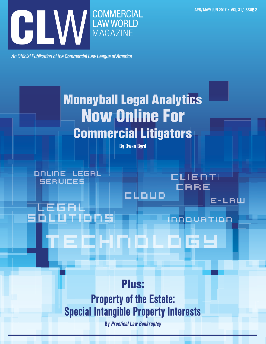

An Official Publication of the Commercial Law League of America

# Moneyball Legal Analytics Now Online For Commercial Litigators

By Owen Byrd

cloud

client

care

innovation

e-law

online legal services

 legal solutions

Plus:

technology

Property of the Estate: Special Intangible Property Interests

By Practical Law Bankruptcy